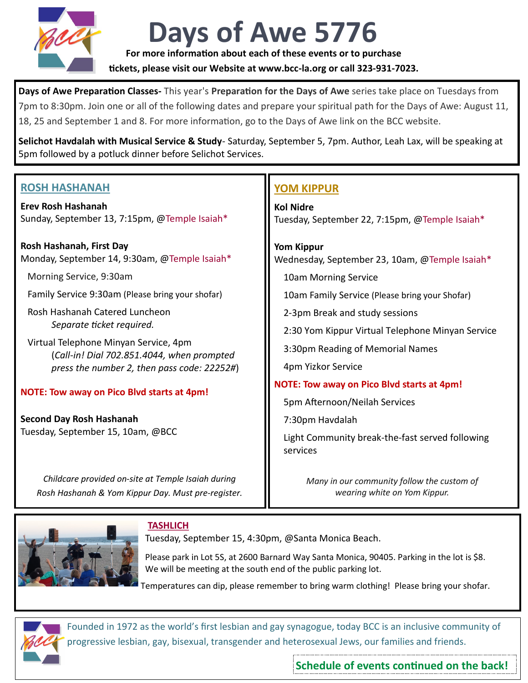

## **Days of Awe 5776**

**For more information about each of these events or to purchase** 

**tickets, please visit our Website at www.bcc-la.org or call 323-931-7023.**

**Days of Awe Preparation Classes-** This year's **Preparation for the Days of Awe** series take place on Tuesdays from 7pm to 8:30pm. Join one or all of the following dates and prepare your spiritual path for the Days of Awe: August 11, 18, 25 and September 1 and 8. For more information, go to the Days of Awe link on the BCC website.

**Selichot Havdalah with Musical Service & Study**- Saturday, September 5, 7pm. Author, Leah Lax, will be speaking at 5pm followed by a potluck dinner before Selichot Services.

| <b>ROSH HASHANAH</b> |  |
|----------------------|--|
|                      |  |

**Erev Rosh Hashanah** Sunday, September 13, 7:15pm, @Temple Isaiah\*

**Rosh Hashanah, First Day** Monday, September 14, 9:30am, @Temple Isaiah\*

Morning Service, 9:30am

Family Service 9:30am (Please bring your shofar)

 Rosh Hashanah Catered Luncheon *Separate ticket required.*

 Virtual Telephone Minyan Service, 4pm (*Call-in! Dial 702.851.4044, when prompted press the number 2, then pass code: 22252#*)

#### **NOTE: Tow away on Pico Blvd starts at 4pm!**

**Second Day Rosh Hashanah** Tuesday, September 15, 10am, @BCC

> *Childcare provided on-site at Temple Isaiah during Rosh Hashanah & Yom Kippur Day. Must pre-register.*

### **YOM KIPPUR**

**Kol Nidre** Tuesday, September 22, 7:15pm, @Temple Isaiah\*

**Yom Kippur** Wednesday, September 23, 10am, @Temple Isaiah\*

10am Morning Service

10am Family Service (Please bring your Shofar)

2-3pm Break and study sessions

2:30 Yom Kippur Virtual Telephone Minyan Service

3:30pm Reading of Memorial Names

4pm Yizkor Service

#### **NOTE: Tow away on Pico Blvd starts at 4pm!**

5pm Afternoon/Neilah Services

7:30pm Havdalah

 Light Community break-the-fast served following services

> *Many in our community follow the custom of wearing white on Yom Kippur.*



#### **TASHLICH**

Tuesday, September 15, 4:30pm, @Santa Monica Beach.

Please park in Lot 5S, at 2600 Barnard Way Santa Monica, 90405. Parking in the lot is \$8. We will be meeting at the south end of the public parking lot.

Temperatures can dip, please remember to bring warm clothing! Please bring your shofar.



Founded in 1972 as the world's first lesbian and gay synagogue, today BCC is an inclusive community of progressive lesbian, gay, bisexual, transgender and heterosexual Jews, our families and friends.

**Schedule of events continued on the back!**